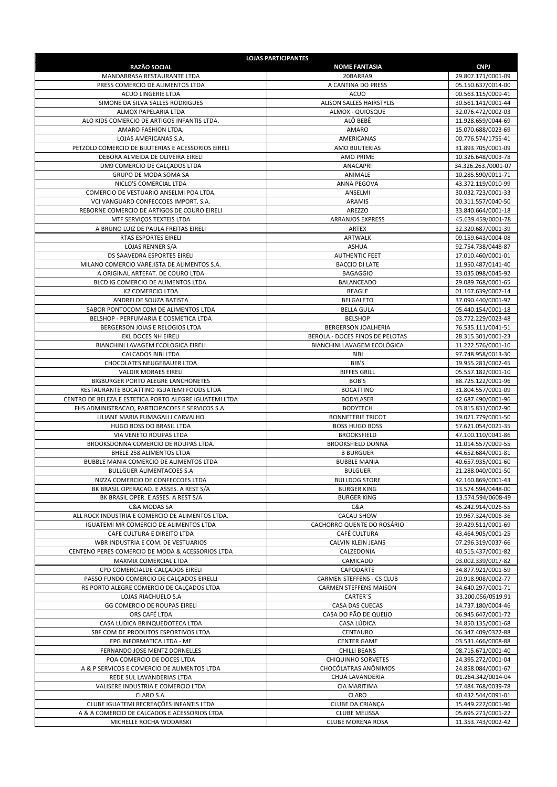| <b>RAZÃO SOCIAL</b>                                                                        | <b>LOJAS PARTICIPANTES</b><br><b>NOME FANTASIA</b>                | <b>CNPJ</b>                              |
|--------------------------------------------------------------------------------------------|-------------------------------------------------------------------|------------------------------------------|
| MANDABRASA RESTAURANTE LTDA                                                                | 20BARRA9                                                          | 29.807.171/0001-09                       |
| PRESS COMERCIO DE ALIMENTOS LTDA                                                           | A CANTINA DO PRESS                                                | 05.150.637/0014-00                       |
| <b>ACUO LINGERIE LTDA</b>                                                                  | ACUO                                                              | 00.563.115/0009-41                       |
| SIMONE DA SILVA SALLES RODRIGUES                                                           | <b>ALISON SALLES HAIRSTYLIS</b>                                   | 30.561.141/0001-44                       |
| ALMOX PAPELARIA LTDA                                                                       | ALMOX - QUIOSQUE                                                  | 32.076.472/0002-03                       |
| ALO KIDS COMERCIO DE ARTIGOS INFANTIS LTDA.<br>AMARO FASHION LTDA.                         | ALÔ BEBÊ<br>AMARO                                                 | 11.928.659/0044-69<br>15.070.688/0023-69 |
| LOJAS AMERICANAS S.A.                                                                      | AMERICANAS                                                        | 00.776.574/1755-41                       |
| PETZOLD COMERCIO DE BIJUTERIAS E ACESSORIOS EIRELI                                         | AMO BIJUTERIAS                                                    | 31.893.705/0001-09                       |
| DEBORA ALMEIDA DE OLIVEIRA EIRELI                                                          | <b>AMO PRIME</b>                                                  | 10.326.648/0003-78                       |
| DM9 COMERCIO DE CALÇADOS LTDA                                                              | ANACAPRI                                                          | 34.326.263./0001-07                      |
| GRUPO DE MODA SOMA SA                                                                      | ANIMALE<br><b>ANNA PEGOVA</b>                                     | 10.285.590/0011-71                       |
| NICLO'S COMERCIAL LTDA<br>COMERCIO DE VESTUARIO ANSELMI POA LTDA.                          | ANSELMI                                                           | 43.372.119/0010-99<br>30.032.723/0001-33 |
| VCI VANGUARD CONFECCOES IMPORT. S.A.                                                       | ARAMIS                                                            | 00.311.557/0040-50                       |
| REBORNE COMERCIO DE ARTIGOS DE COURO EIRELI                                                | AREZZO                                                            | 33.840.664/0001-18                       |
| MTF SERVIÇOS TEXTEIS LTDA                                                                  | ARRANJOS EXPRESS                                                  | 45.639.459/0001-78                       |
| A BRUNO LUIZ DE PAULA FREITAS EIRELI                                                       | ARTEX                                                             | 32.320.687/0001-39                       |
| RTAS ESPORTES EIRELI                                                                       | ARTWALK                                                           | 09.159.643/0004-08                       |
| LOJAS RENNER S/A<br>DS SAAVEDRA ESPORTES EIRELI                                            | <b>ASHUA</b><br><b>AUTHENTIC FEET</b>                             | 92.754.738/0448-87<br>17.010.460/0001-01 |
| MILANO COMERCIO VAREJISTA DE ALIMENTOS S.A.                                                | <b>BACCIO DI LATE</b>                                             | 11.950.487/0141-40                       |
| A ORIGINAL ARTEFAT. DE COURO LTDA                                                          | <b>BAGAGGIO</b>                                                   | 33.035.098/0045-92                       |
| BLCD IG COMERCIO DE ALIMENTOS LTDA                                                         | <b>BALANCEADO</b>                                                 | 29.089.768/0001-65                       |
| K2 COMERCIO LTDA                                                                           | <b>BEAGLE</b>                                                     | 01.167.639/0007-14                       |
| ANDREI DE SOUZA BATISTA                                                                    | <b>BELGALETO</b>                                                  | 37.090.440/0001-97                       |
| SABOR PONTOCOM COM DE ALIMENTOS LTDA                                                       | <b>BELLA GULA</b>                                                 | 05.440.154/0001-18                       |
| BELSHOP - PERFUMARIA E COSMETICA LTDA<br>BERGERSON JOIAS E RELOGIOS LTDA                   | <b>BELSHOP</b><br><b>BERGERSON JOALHERIA</b>                      | 03.772.229/0023-48<br>76.535.111/0041-51 |
| EKL DOCES NH EIRELI                                                                        | BEROLA - DOCES FINOS DE PELOTAS                                   | 28.315.301/0001-23                       |
| BIANCHINI LAVAGEM ECOLOGICA EIRELI                                                         | BIANCHINI LAVAGEM ECOLÓGICA                                       | 11.222.576/0001-10                       |
| <b>CALCADOS BIBI LTDA</b>                                                                  | BIBI                                                              | 97.748.958/0013-30                       |
| CHOCOLATES NEUGEBAUER LTDA                                                                 | BIB'S                                                             | 19.955.281/0002-45                       |
| <b>VALDIR MORAES EIRELI</b>                                                                | <b>BIFFES GRILL</b>                                               | 05.557.182/0001-10                       |
| BIGBURGER PORTO ALEGRE LANCHONETES<br>RESTAURANTE BOCATTINO IGUATEMI FOODS LTDA            | BOB'S                                                             | 88.725.122/0001-96                       |
| CENTRO DE BELEZA E ESTETICA PORTO ALEGRE IGUATEMI LTDA                                     | <b>BOCATTINO</b><br><b>BODYLASER</b>                              | 31.804.557/0001-09<br>42.687.490/0001-96 |
| FHS ADMINISTRACAO, PARTICIPACOES E SERVICOS S.A.                                           | <b>BODYTECH</b>                                                   | 03.815.831/0002-90                       |
| LILIANE MARIA FUMAGALLI CARVALHO                                                           | <b>BONNETERIE TRICOT</b>                                          | 19.021.779/0001-50                       |
| HUGO BOSS DO BRASIL LTDA                                                                   | <b>BOSS HUGO BOSS</b>                                             | 57.621.054/0021-35                       |
| VIA VENETO ROUPAS LTDA                                                                     | <b>BROOKSFIELD</b>                                                | 47.100.110/0041-86                       |
| BROOKSDONNA COMERCIO DE ROUPAS LTDA.                                                       | <b>BROOKSFIELD DONNA</b>                                          | 11.014.557/0009-55                       |
| BHELE 258 ALIMENTOS LTDA<br>BUBBLE MANIA COMERCIO DE ALIMENTOS LTDA                        | <b>B BURGUER</b><br><b>BUBBLE MANIA</b>                           | 44.652.684/0001-81<br>40.657.935/0001-60 |
| <b>BULLGUER ALIMENTACOES S.A</b>                                                           | <b>BULGUER</b>                                                    | 21.288.040/0001-50                       |
| NIZZA COMERCIO DE CONFECCOES LTDA                                                          | <b>BULLDOG STORE</b>                                              | 42.160.869/0001-43                       |
| BK BRASIL OPERACAO. E ASSES. A REST S/A                                                    | <b>BURGER KING</b>                                                | 13.574.594/0448-00                       |
| BK BRASIL OPER. E ASSES. A REST S/A                                                        | <b>BURGER KING</b>                                                | 13.574.594/0608-49                       |
| C&A MODAS SA                                                                               | C&A                                                               | 45.242.914/0026-55                       |
| ALL ROCK INDUSTRIA E COMERCIO DE ALIMENTOS LTDA.<br>IGUATEMI MR COMERCIO DE ALIMENTOS LTDA | CACAU SHOW<br>CACHORRO QUENTE DO ROSÁRIO                          | 19.967.324/0006-36<br>39.429.511/0001-69 |
| CAFE CULTURA E DIREITO LTDA                                                                | CAFÉ CULTURA                                                      | 43.464.905/0001-25                       |
| WBR INDUSTRIA E COM. DE VESTUARIOS                                                         | <b>CALVIN KLEIN JEANS</b>                                         | 07.296.319/0037-66                       |
| CENTENO PERES COMERCIO DE MODA & ACESSORIOS LTDA                                           | CALZEDONIA                                                        | 40.515.437/0001-82                       |
| MAXMIX COMERCIAL LTDA                                                                      | CAMICADO                                                          | 03.002.339/0017-82                       |
| CPD COMERCIALDE CALCADOS EIRELI                                                            | CAPODARTE                                                         | 34.877.921/0001-59                       |
| PASSO FUNDO COMERCIO DE CALÇADOS EIRELLI<br>RS PORTO ALEGRE COMERCIO DE CALÇADOS LTDA      | <b>CARMEN STEFFENS - CS CLUB</b><br><b>CARMEN STEFFENS MAISON</b> | 20.918.908/0002-77<br>34.640.297/0001-71 |
| LOJAS RIACHUELO S.A                                                                        | CARTER'S                                                          | 33.200.056/0519.91                       |
| GG COMERCIO DE ROUPAS EIRELI                                                               | CASA DAS CUECAS                                                   | 14.737.180/0004-46                       |
| ORS CAFÉ LTDA                                                                              | CASA DO PÃO DE QUEIJO                                             | 06.945.647/0001-72                       |
| CASA LUDICA BRINQUEDOTECA LTDA                                                             | CASA LÚDICA                                                       | 34.850.135/0001-68                       |
| SBF COM DE PRODUTOS ESPORTIVOS LTDA                                                        | CENTAURO                                                          | 06.347.409/0322-88                       |
| EPG INFORMATICA LTDA - ME                                                                  | <b>CENTER GAME</b>                                                | 03.531.466/0008-88                       |
| FERNANDO JOSE MENTZ DORNELLES<br>POA COMERCIO DE DOCES LTDA                                | <b>CHILLI BEANS</b><br>CHIQUINHO SORVETES                         | 08.715.671/0001-40<br>24.395.272/0001-04 |
| A & P SERVICOS E COMERCIO DE ALIMENTOS LTDA                                                | CHOCÓLATRAS ANÔNIMOS                                              | 24.858.084/0001-67                       |
| REDE SUL LAVANDERIAS LTDA                                                                  | CHUÁ LAVANDERIA                                                   | 01.264.342/0014-04                       |
| VALISERE INDUSTRIA E COMERCIO LTDA                                                         | CIA MARITIMA                                                      | 57.484.768/0039-78                       |
| CLARO S.A.                                                                                 | <b>CLARO</b>                                                      | 40.432.544/0091-01                       |
| CLUBE IGUATEMI RECREAÇÕES INFANTIS LTDA                                                    | CLUBE DA CRIANÇA                                                  | 15.449.227/0001-96                       |
| A & A COMERCIO DE CALCADOS E ACESSORIOS LTDA<br>MICHELLE ROCHA WODARSKI                    | <b>CLUBE MELISSA</b><br><b>CLUBE MORENA ROSA</b>                  | 05.695.271/0001-22<br>11.353.743/0002-42 |
|                                                                                            |                                                                   |                                          |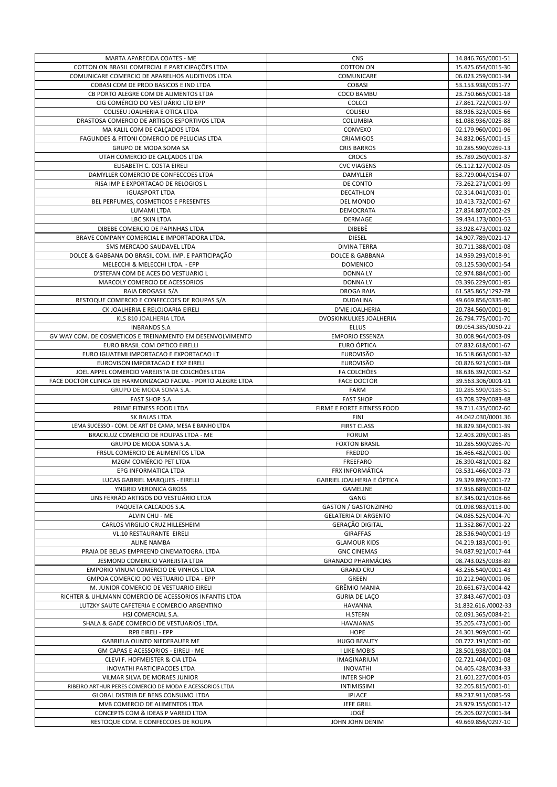| MARTA APARECIDA COATES - ME                                    | <b>CNS</b>                        | 14.846.765/0001-51  |
|----------------------------------------------------------------|-----------------------------------|---------------------|
| COTTON ON BRASIL COMERCIAL E PARTICIPAÇÕES LTDA                | <b>COTTON ON</b>                  | 15.425.654/0015-30  |
| COMUNICARE COMERCIO DE APARELHOS AUDITIVOS LTDA                | COMUNICARE                        | 06.023.259/0001-34  |
| COBASI COM DE PROD BASICOS E IND LTDA                          | <b>COBASI</b>                     | 53.153.938/0051-77  |
| CB PORTO ALEGRE COM DE ALIMENTOS LTDA                          | COCO BAMBU                        | 23.750.665/0001-18  |
| CIG COMÉRCIO DO VESTUÁRIO LTD EPP                              | COLCCI                            | 27.861.722/0001-97  |
| COLISEU JOALHERIA E OTICA LTDA                                 | COLISEU                           |                     |
|                                                                |                                   | 88.936.323/0005-66  |
| DRASTOSA COMERCIO DE ARTIGOS ESPORTIVOS LTDA                   | COLUMBIA                          | 61.088.936/0025-88  |
| MA KALIL COM DE CALÇADOS LTDA                                  | CONVEXO                           | 02.179.960/0001-96  |
| FAGUNDES & PITONI COMERCIO DE PELUCIAS LTDA                    | CRIAMIGOS                         | 34.832.065/0001-15  |
| GRUPO DE MODA SOMA SA                                          | <b>CRIS BARROS</b>                | 10.285.590/0269-13  |
| UTAH COMERCIO DE CALÇADOS LTDA                                 | <b>CROCS</b>                      | 35.789.250/0001-37  |
| ELISABETH C. COSTA EIRELI                                      | <b>CVC VIAGENS</b>                | 05.112.127/0002-05  |
| DAMYLLER COMERCIO DE CONFECCOES LTDA                           | DAMYLLER                          | 83.729.004/0154-07  |
| RISA IMP E EXPORTACAO DE RELOGIOS L                            | DE CONTO                          | 73.262.271/0001-99  |
| <b>IGUASPORT LTDA</b>                                          | DECATHLON                         | 02.314.041/0031-01  |
| BEL PERFUMES, COSMETICOS E PRESENTES                           | DEL MONDO                         | 10.413.732/0001-67  |
| LUMAMI LTDA                                                    | DEMOCRATA                         | 27.854.807/0002-29  |
| <b>LBC SKIN LTDA</b>                                           | DERMAGE                           | 39.434.173/0001-53  |
| DIBEBE COMERCIO DE PAPINHAS LTDA                               | DIBEBÊ                            | 33.928.473/0001-02  |
| BRAVE COMPANY COMERCIAL E IMPORTADORA LTDA.                    | <b>DIESEL</b>                     | 14.907.789/0021-17  |
| SMS MERCADO SAUDAVEL LTDA                                      | <b>DIVINA TERRA</b>               | 30.711.388/0001-08  |
|                                                                |                                   |                     |
| DOLCE & GABBANA DO BRASIL COM. IMP. E PARTICIPAÇÃO             | DOLCE & GABBANA                   | 14.959.293/0018-91  |
| MELECCHI & MELECCHI LTDA. - EPP                                | <b>DOMENICO</b>                   | 03.125.530/0001-54  |
| D'STEFAN COM DE ACES DO VESTUARIO L                            | <b>DONNALY</b>                    | 02.974.884/0001-00  |
| MARCOLY COMERCIO DE ACESSORIOS                                 | <b>DONNALY</b>                    | 03.396.229/0001-85  |
| RAIA DROGASIL S/A                                              | <b>DROGA RAIA</b>                 | 61.585.865/1292-78  |
| RESTOQUE COMERCIO E CONFECCOES DE ROUPAS S/A                   | <b>DUDALINA</b>                   | 49.669.856/0335-80  |
| CK JOALHERIA E RELOJOARIA EIRELI                               | D'VIE JOALHERIA                   | 20.784.560/0001-91  |
| KLS 810 JOALHERIA LTDA                                         | DVOSKINKULKES JOALHERIA           | 26.794.775/0001-70  |
| <b>INBRANDS S.A</b>                                            | <b>ELLUS</b>                      | 09.054.385/0050-22  |
| GV WAY COM. DE COSMETICOS E TREINAMENTO EM DESENVOLVIMENTO     | <b>EMPORIO ESSENZA</b>            | 30.008.964/0003-09  |
| EURO BRASIL COM OPTICO EIRELLI                                 | EURO ÓPTICA                       | 07.832.618/0001-67  |
| EURO IGUATEMI IMPORTACAO E EXPORTACAO LT                       | <b>EUROVISÃO</b>                  | 16.518.663/0001-32  |
| EUROVISON IMPORTACAO E EXP EIRELI                              | <b>EUROVISÃO</b>                  | 00.826.921/0001-08  |
| JOEL APPEL COMERCIO VAREJISTA DE COLCHÕES LTDA                 | FA COLCHÕES                       | 38.636.392/0001-52  |
| FACE DOCTOR CLINICA DE HARMONIZACAO FACIAL - PORTO ALEGRE LTDA | <b>FACE DOCTOR</b>                | 39.563.306/0001-91  |
|                                                                |                                   |                     |
| GRUPO DE MODA SOMA S.A.                                        | FARM                              | 10.285.590/0186-51  |
| <b>FAST SHOP S.A</b>                                           | <b>FAST SHOP</b>                  | 43.708.379/0083-48  |
| PRIME FITNESS FOOD LTDA                                        | FIRME E FORTE FITNESS FOOD        | 39.711.435/0002-60  |
| SK BALAS LTDA                                                  | <b>FINI</b>                       | 44.042.030/0001.36  |
| LEMA SUCESSO - COM. DE ART DE CAMA, MESA E BANHO LTDA          | <b>FIRST CLASS</b>                | 38.829.304/0001-39  |
| BRACKLUZ COMERCIO DE ROUPAS LTDA - ME                          | <b>FORUM</b>                      | 12.403.209/0001-85  |
| GRUPO DE MODA SOMA S.A.                                        | <b>FOXTON BRASIL</b>              | 10.285.590/0266-70  |
| FRSUL COMERCIO DE ALIMENTOS LTDA                               | FREDDO                            | 16.466.482/0001-00  |
|                                                                | FREEFARO                          |                     |
| M2GM COMÉRCIO PET LTDA                                         | <b>FRX INFORMÁTICA</b>            | 26.390.481/0001-82  |
| EPG INFORMATICA LTDA                                           |                                   | 03.531.466/0003-73  |
| LUCAS GABRIEL MARQUES - EIRELLI                                | <b>GABRIEL JOALHERIA E ÓPTICA</b> | 29.329.899/0001-72  |
| YNGRID VERONICA GROSS                                          | <b>GAMELINE</b>                   | 37.956.689/0003-02  |
| LINS FERRÃO ARTIGOS DO VESTUÁRIO LTDA                          | GANG                              | 87.345.021/0108-66  |
| PAQUETA CALCADOS S.A.                                          | <b>GASTON / GASTONZINHO</b>       | 01.098.983/0113-00  |
| ALVIN CHU - ME                                                 | <b>GELATERIA DI ARGENTO</b>       | 04.085.525/0004-70  |
| CARLOS VIRGILIO CRUZ HILLESHEIM                                | GERAÇÃO DIGITAL                   | 11.352.867/0001-22  |
| <b>VL.10 RESTAURANTE EIRELI</b>                                | <b>GIRAFFAS</b>                   | 28.536.940/0001-19  |
| <b>ALINE NAMBA</b>                                             | <b>GLAMOUR KIDS</b>               | 04.219.183/0001-91  |
| PRAIA DE BELAS EMPREEND CINEMATOGRA. LTDA                      | <b>GNC CINEMAS</b>                | 94.087.921/0017-44  |
| JESMOND COMERCIO VAREJISTA LTDA                                | <b>GRANADO PHARMÁCIAS</b>         | 08.743.025/0038-89  |
| EMPORIO VINUM COMERCIO DE VINHOS LTDA                          | <b>GRAND CRU</b>                  | 43.256.540/0001-43  |
| GMPOA COMERCIO DO VESTUARIO LTDA - EPP                         | GREEN                             | 10.212.940/0001-06  |
| M. JUNIOR COMERCIO DE VESTUARIO EIRELI                         | <b>GRÊMIO MANIA</b>               | 20.661.673/0004-42  |
| RICHTER & UHLMANN COMERCIO DE ACESSORIOS INFANTIS LTDA         | GURIA DE LAÇO                     | 37.843.467/0001-03  |
| LUTZKY SAUTE CAFETERIA E COMERCIO ARGENTINO                    | <b>HAVANNA</b>                    | 31.832.616./0002-33 |
| HSJ COMERCIAL S.A.                                             | H.STERN                           | 02.091.365/0084-21  |
| SHALA & GADE COMERCIO DE VESTUARIOS LTDA.                      | <b>HAVAIANAS</b>                  | 35.205.473/0001-00  |
| RPB EIRELI - EPP                                               | <b>HOPE</b>                       | 24.301.969/0001-60  |
| GABRIELA OLINTO NIEDERAUER ME                                  | <b>HUGO BEAUTY</b>                | 00.772.191/0001-00  |
| GM CAPAS E ACESSORIOS - EIRELI - ME                            | I LIKE MOBIS                      | 28.501.938/0001-04  |
| CLEVI F. HOFMEISTER & CIA LTDA                                 | IMAGINARIUM                       | 02.721.404/0001-08  |
| <b>INOVATHI PARTICIPACOES LTDA</b>                             | <b>INOVATHI</b>                   | 04.405.428/0034-33  |
| VILMAR SILVA DE MORAES JUNIOR                                  | <b>INTER SHOP</b>                 | 21.601.227/0004-05  |
| RIBEIRO ARTHUR PERES COMERCIO DE MODA E ACESSORIOS LTDA        | <b>INTIMISSIMI</b>                | 32.205.815/0001-01  |
| GLOBAL DISTRIB DE BENS CONSUMO LTDA                            | <b>IPLACE</b>                     | 89.237.911/0085-59  |
| MVB COMERCIO DE ALIMENTOS LTDA                                 | JEFE GRILL                        | 23.979.155/0001-17  |
| CONCEPTS COM & IDEAS P VAREJO LTDA                             | JOGÊ                              | 05.205.027/0001-34  |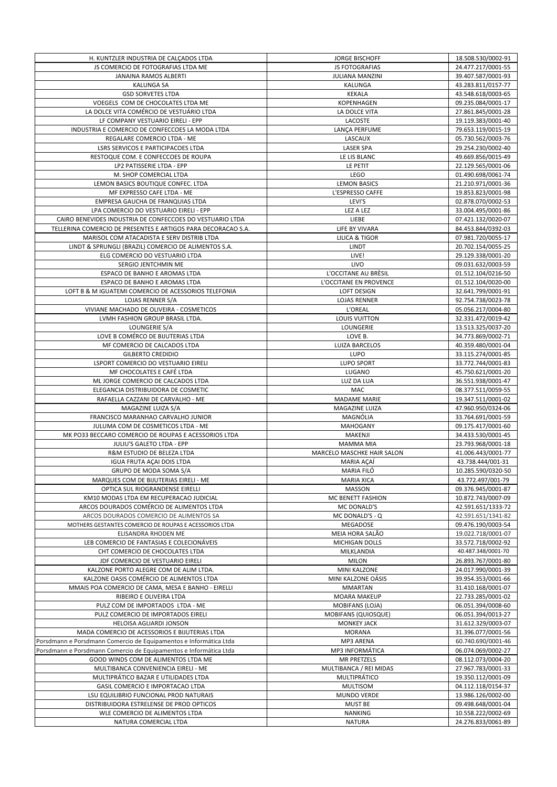| H. KUNTZLER INDUSTRIA DE CALCADOS LTDA                                                                      | <b>JORGE BISCHOFF</b>                       | 18.508.530/0002-91                       |
|-------------------------------------------------------------------------------------------------------------|---------------------------------------------|------------------------------------------|
| JS COMERCIO DE FOTOGRAFIAS LTDA ME                                                                          | JS FOTOGRAFIAS                              | 24.477.217/0001-55                       |
| JANAINA RAMOS ALBERTI                                                                                       | <b>JULIANA MANZINI</b>                      | 39.407.587/0001-93                       |
| <b>KALUNGA SA</b>                                                                                           | KALUNGA                                     | 43.283.811/0157-77                       |
| <b>GSD SORVETES LTDA</b>                                                                                    | <b>KEKALA</b>                               | 43.548.618/0003-65                       |
| VOEGELS COM DE CHOCOLATES LTDA ME<br>LA DOLCE VITA COMÉRCIO DE VESTUÁRIO LTDA                               | KOPENHAGEN                                  | 09.235.084/0001-17                       |
| LF COMPANY VESTUARIO EIRELI - EPP                                                                           | LA DOLCE VITA                               | 27.861.845/0001-28<br>19.119.383/0001-40 |
| INDUSTRIA E COMERCIO DE CONFECCOES LA MODA LTDA                                                             | LACOSTE<br>LANÇA PERFUME                    | 79.653.119/0015-19                       |
| REGALARE COMERCIO LTDA - ME                                                                                 | LASCAUX                                     | 05.730.562/0003-76                       |
| LSRS SERVICOS E PARTICIPACOES LTDA                                                                          | <b>LASER SPA</b>                            | 29.254.230/0002-40                       |
| RESTOQUE COM. E CONFECCOES DE ROUPA                                                                         | LE LIS BLANC                                | 49.669.856/0015-49                       |
| LP2 PATISSERIE LTDA - EPP                                                                                   | LE PETIT                                    | 22.129.565/0001-06                       |
| M. SHOP COMERCIAL LTDA                                                                                      | <b>LEGO</b>                                 | 01.490.698/0061-74                       |
| LEMON BASICS BOUTIQUE CONFEC. LTDA                                                                          | <b>LEMON BASICS</b>                         | 21.210.971/0001-36                       |
| MF EXPRESSO CAFE LTDA - ME                                                                                  | L'ESPRESSO CAFFE                            | 19.853.823/0001-98                       |
| EMPRESA GAUCHA DE FRANQUIAS LTDA                                                                            | LEVI'S                                      | 02.878.070/0002-53                       |
| LPA COMERCIO DO VESTUARIO EIRELI - EPP                                                                      | LEZ A LEZ                                   | 33.004.495/0001-86                       |
| CAIRO BENEVIDES INDUSTRIA DE CONFECCOES DO VESTUARIO LTDA                                                   | LIEBE                                       | 07.421.132/0020-07                       |
| TELLERINA COMERCIO DE PRESENTES E ARTIGOS PARA DECORACAO S.A.<br>MARISOL COM ATACADISTA E SERV DISTRIB LTDA | LIFE BY VIVARA<br><b>LILICA &amp; TIGOR</b> | 84.453.844/0392-03<br>07.981.720/0055-17 |
| LINDT & SPRUNGLI (BRAZIL) COMERCIO DE ALIMENTOS S.A.                                                        | LINDT                                       | 20.702.154/0055-25                       |
| ELG COMERCIO DO VESTUARIO LTDA                                                                              | LIVE!                                       | 29.129.338/0001-20                       |
| SERGIO JENTCHMIN ME                                                                                         | LIVO                                        | 09.031.632/0003-59                       |
| ESPACO DE BANHO E AROMAS LTDA                                                                               | L'OCCITANE AU BRÈSIL                        | 01.512.104/0216-50                       |
| ESPACO DE BANHO E AROMAS LTDA                                                                               | L'OCCITANE EN PROVENCE                      | 01.512.104/0020-00                       |
| LOFT B & M IGUATEMI COMERCIO DE ACESSORIOS TELEFONIA                                                        | <b>LOFT DESIGN</b>                          | 32.641.799/0001-91                       |
| LOJAS RENNER S/A                                                                                            | <b>LOJAS RENNER</b>                         | 92.754.738/0023-78                       |
| VIVIANE MACHADO DE OLIVEIRA - COSMETICOS                                                                    | L'OREAL                                     | 05.056.217/0004-80                       |
| LVMH FASHION GROUP BRASIL LTDA.                                                                             | <b>LOUIS VUITTON</b>                        | 32.331.472/0019-42                       |
| LOUNGERIE S/A                                                                                               | LOUNGERIE                                   | 13.513.325/0037-20                       |
| LOVE B COMÉRCO DE BIJUTERIAS LTDA                                                                           | LOVE B.                                     | 34.773.869/0002-71                       |
| MF COMERCIO DE CALCADOS LTDA                                                                                | <b>LUIZA BARCELOS</b>                       | 40.359.480/0001-04                       |
| <b>GILBERTO CREDIDIO</b><br>LSPORT COMERCIO DO VESTUARIO EIRELI                                             | LUPO<br>LUPO SPORT                          | 33.115.274/0001-85                       |
| MF CHOCOLATES E CAFÉ LTDA                                                                                   | LUGANO                                      | 33.772.744/0001-83<br>45.750.621/0001-20 |
| ML JORGE COMERCIO DE CALCADOS LTDA                                                                          | LUZ DA LUA                                  | 36.551.938/0001-47                       |
| ELEGANCIA DISTRIBUIDORA DE COSMETIC                                                                         | MAC                                         | 08.377.511/0059-55                       |
| RAFAELLA CAZZANI DE CARVALHO - ME                                                                           | <b>MADAME MARIE</b>                         | 19.347.511/0001-02                       |
|                                                                                                             |                                             |                                          |
| MAGAZINE LUIZA S/A                                                                                          | MAGAZINE LUIZA                              | 47.960.950/0324-06                       |
| FRANCISCO MARANHAO CARVALHO JUNIOR                                                                          | MAGNÓLIA                                    | 33.764.691/0001-59                       |
| JULUMA COM DE COSMETICOS LTDA - ME                                                                          | <b>MAHOGANY</b>                             | 09.175.417/0001-60                       |
| MK PO33 BECCARO COMERCIO DE ROUPAS E ACESSORIOS LTDA                                                        | MAKENJI                                     | 34.433.530/0001-45                       |
| JULIU'S GALETO LTDA - EPP                                                                                   | MAMMA MIA                                   | 23.793.968/0001-18                       |
| R&M ESTUDIO DE BELEZA LTDA                                                                                  | MARCELO MASCHKE HAIR SALON                  | 41.006.443/0001-77                       |
| <b>IGUA FRUTA ACAI DOIS LTDA</b>                                                                            | <b>MARIA ACAÍ</b>                           | 43.738.444/001-31                        |
| GRUPO DE MODA SOMA S/A                                                                                      | MARIA FILÓ                                  | 10.285.590/0320-50                       |
| MARQUES COM DE BIJUTERIAS EIRELI - ME                                                                       | MARIA XICA                                  | 43.772.497/001-79                        |
| OPTICA SUL RIOGRANDENSE EIRELLI                                                                             | <b>MASSON</b>                               | 09.376.945/0001-87                       |
| KM10 MODAS LTDA EM RECUPERACAO JUDICIAL                                                                     | MC BENETT FASHION                           | 10.872.743/0007-09                       |
| ARCOS DOURADOS COMÉRCIO DE ALIMENTOS LTDA<br>ARCOS DOURADOS COMERCIO DE ALIMENTOS SA                        | MC DONALD'S<br>MC DONALD'S - Q              | 42.591.651/1333-72<br>42.591.651/1341-82 |
| MOTHERS GESTANTES COMERCIO DE ROUPAS E ACESSORIOS LTDA                                                      | <b>MEGADOSE</b>                             | 09.476.190/0003-54                       |
| ELISANDRA RHODEN ME                                                                                         | MEIA HORA SALÃO                             | 19.022.718/0001-07                       |
| LEB COMERCIO DE FANTASIAS E COLECIONÁVEIS                                                                   | <b>MICHIGAN DOLLS</b>                       | 33.572.718/0002-92                       |
| CHT COMERCIO DE CHOCOLATES LTDA                                                                             | MILKLANDIA                                  | 40.487.348/0001-70                       |
| JDF COMERCIO DE VESTUARIO EIRELI                                                                            | <b>MILON</b>                                | 26.893.767/0001-80                       |
| KALZONE PORTO ALEGRE COM DE ALIM LTDA.                                                                      | MINI KALZONE                                | 24.017.990/0001-39                       |
| KALZONE OASIS COMÉRCIO DE ALIMENTOS LTDA                                                                    | MINI KALZONE OÁSIS                          | 39.954.353/0001-66                       |
| MMAIS POA COMERCIO DE CAMA, MESA E BANHO - EIRELLI                                                          | <b>MMARTAN</b>                              | 31.410.168/0001-07                       |
| RIBEIRO E OLIVEIRA LTDA                                                                                     | <b>MOARA MAKEUP</b>                         | 22.733.285/0001-02                       |
| PULZ COM DE IMPORTADOS LTDA - ME                                                                            | MOBIFANS (LOJA)                             | 06.051.394/0008-60                       |
| PULZ COMERCIO DE IMPORTADOS EIRELI                                                                          | <b>MOBIFANS (QUIOSQUE)</b>                  | 06.051.394/0013-27                       |
| HELOISA AGLIARDI JONSON<br>MADA COMERCIO DE ACESSORIOS E BIJUTERIAS LTDA                                    | <b>MONKEY JACK</b><br><b>MORANA</b>         | 31.612.329/0003-07<br>31.396.077/0001-56 |
| Porsdmann e Porsdmann Comercio de Equipamentos e Informática Ltda                                           | MP3 ARENA                                   | 60.740.690/0001-46                       |
| Porsdmann e Porsdmann Comercio de Equipamentos e Informática Ltda                                           | MP3 INFORMÁTICA                             | 06.074.069/0002-27                       |
| GOOD WINDS COM DE ALIMENTOS LTDA ME                                                                         | MR PRETZELS                                 | 08.112.073/0004-20                       |
| MULTIBANCA CONVENIENCIA EIRELI - ME                                                                         | MULTIBANCA / REI MIDAS                      | 27.967.783/0001-33                       |
| MULTIPRÁTICO BAZAR E UTILIDADES LTDA                                                                        | MULTIPRÁTICO                                | 19.350.112/0001-09                       |
| GASIL COMERCIO E IMPORTACAO LTDA                                                                            | <b>MULTISOM</b>                             | 04.112.118/0154-37                       |
| LSU EQUILIBRIO FUNCIONAL PROD NATURAIS                                                                      | MUNDO VERDE                                 | 13.986.126/0002-00                       |
| DISTRIBUIDORA ESTRELENSE DE PROD OPTICOS                                                                    | <b>MUST BE</b>                              | 09.498.648/0001-04                       |
| WLE COMERCIO DE ALIMENTOS LTDA<br>NATURA COMERCIAL LTDA                                                     | <b>NANKING</b><br><b>NATURA</b>             | 10.558.222/0002-69<br>24.276.833/0061-89 |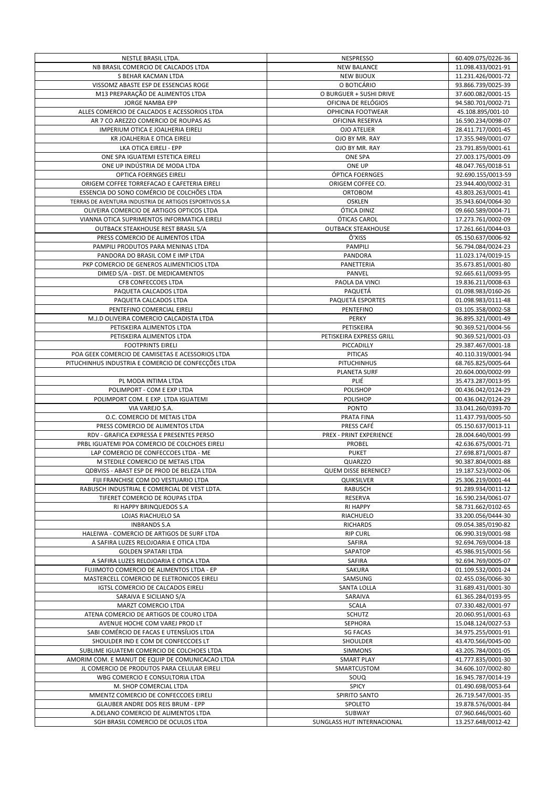| NESTLE BRASIL LTDA.                                                                  | NESPRESSO                            | 60.409.075/0226-36                       |
|--------------------------------------------------------------------------------------|--------------------------------------|------------------------------------------|
| NB BRASIL COMERCIO DE CALCADOS LTDA                                                  | <b>NEW BALANCE</b>                   | 11.098.433/0021-91                       |
| S BEHAR KACMAN LTDA                                                                  | <b>NEW BIJOUX</b>                    | 11.231.426/0001-72                       |
| VISSOMZ ABASTE ESP DE ESSENCIAS ROGE                                                 | O BOTICÁRIO                          | 93.866.739/0025-39                       |
| M13 PREPARAÇÃO DE ALIMENTOS LTDA                                                     | O BURGUER + SUSHI DRIVE              | 37.600.082/0001-15                       |
| JORGE NAMBA EPP                                                                      | OFICINA DE RELÓGIOS                  | 94.580.701/0002-71                       |
| ALLES COMERCIO DE CALCADOS E ACESSORIOS LTDA                                         | <b>OPHICINA FOOTWEAR</b>             | 45.108.895/001-10                        |
| AR 7 CO AREZZO COMERCIO DE ROUPAS AS                                                 | OFICINA RESERVA                      | 16.590.234/0098-07                       |
| IMPERIUM OTICA E JOALHERIA EIRELI                                                    | <b>OJO ATELIER</b>                   | 28.411.717/0001-45                       |
| KR JOALHERIA E OTICA EIRELI                                                          | OJO BY MR. RAY                       | 17.355.949/0001-07                       |
| LKA OTICA EIRELI - EPP                                                               | OJO BY MR. RAY                       | 23.791.859/0001-61                       |
| ONE SPA IGUATEMI ESTETICA EIRELI                                                     | <b>ONE SPA</b>                       | 27.003.175/0001-09                       |
| ONE UP INDÚSTRIA DE MODA LTDA                                                        | ONE UP                               | 48.047.765/0018-51                       |
| <b>OPTICA FOERNGES EIRELI</b>                                                        | ÓPTICA FOERNGES                      | 92.690.155/0013-59                       |
| ORIGEM COFFEE TORREFACAO E CAFETERIA EIRELI                                          | ORIGEM COFFEE CO.                    | 23.944.400/0002-31                       |
| ESSENCIA DO SONO COMÉRCIO DE COLCHÕES LTDA                                           | ORTOBOM                              | 43.803.263/0001-41                       |
| TERRAS DE AVENTURA INDUSTRIA DE ARTIGOS ESPORTIVOS S.A                               | <b>OSKLEN</b>                        | 35.943.604/0064-30                       |
| OLIVEIRA COMERCIO DE ARTIGOS OPTICOS LTDA                                            | ÓTICA DINIZ                          | 09.660.589/0004-71                       |
| VIANNA OTICA SUPRIMENTOS INFORMATICA EIRELI                                          | ÓTICAS CAROL                         | 17.273.761/0002-09                       |
| OUTBACK STEAKHOUSE REST BRASIL S/A                                                   | <b>OUTBACK STEAKHOUSE</b>            | 17.261.661/0044-03                       |
| PRESS COMERCIO DE ALIMENTOS LTDA                                                     | Ô'XISS                               | 05.150.637/0006-92                       |
| PAMPILI PRODUTOS PARA MENINAS LTDA                                                   | <b>PAMPILI</b>                       | 56.794.084/0024-23                       |
| PANDORA DO BRASIL COM E IMP LTDA                                                     | <b>PANDORA</b>                       | 11.023.174/0019-15                       |
| PKP COMERCIO DE GENEROS ALIMENTICIOS LTDA                                            | PANETTERIA                           | 35.673.851/0001-80                       |
| DIMED S/A - DIST. DE MEDICAMENTOS                                                    | PANVEL                               | 92.665.611/0093-95                       |
| CF8 CONFECCOES LTDA                                                                  | PAOLA DA VINCI                       | 19.836.211/0008-63                       |
| PAQUETA CALCADOS LTDA                                                                | PAQUETÁ                              | 01.098.983/0160-26                       |
| PAQUETA CALCADOS LTDA<br>PENTEFINO COMERCIAL EIRELI                                  | PAQUETÁ ESPORTES<br><b>PENTEFINO</b> | 01.098.983/0111-48                       |
|                                                                                      |                                      | 03.105.358/0002-58<br>36.895.321/0001-49 |
| M.J.D OLIVEIRA COMERCIO CALCADISTA LTDA<br>PETISKEIRA ALIMENTOS LTDA                 | PERKY<br>PETISKEIRA                  | 90.369.521/0004-56                       |
| PETISKEIRA ALIMENTOS LTDA                                                            | PETISKEIRA EXPRESS GRILL             | 90.369.521/0001-03                       |
| <b>FOOTPRINTS EIRELI</b>                                                             | PICCADILLY                           | 29.387.467/0001-18                       |
| POA GEEK COMERCIO DE CAMISETAS E ACESSORIOS LTDA                                     | <b>PITICAS</b>                       | 40.110.319/0001-94                       |
| PITUCHINHUS INDUSTRIA E COMERCIO DE CONFECÇÕES LTDA                                  | <b>PITUCHINHUS</b>                   | 68.765.825/0005-64                       |
|                                                                                      | <b>PLANETA SURF</b>                  | 20.604.000/0002-99                       |
| PL MODA INTIMA LTDA                                                                  | <b>PLIÉ</b>                          | 35.473.287/0013-95                       |
| POLIMPORT - COM E EXP LTDA                                                           | POLISHOP                             | 00.436.042/0124-29                       |
| POLIMPORT COM. E EXP. LTDA IGUATEMI                                                  | <b>POLISHOP</b>                      | 00.436.042/0124-29                       |
| VIA VAREJO S.A.                                                                      | <b>PONTO</b>                         | 33.041.260/0393-70                       |
| O.C. COMERCIO DE METAIS LTDA                                                         | PRATA FINA                           | 11.437.793/0005-50                       |
| PRESS COMERCIO DE ALIMENTOS LTDA                                                     | PRESS CAFÉ                           | 05.150.637/0013-11                       |
| RDV - GRAFICA EXPRESSA E PRESENTES PERSO                                             | PREX - PRINT EXPERIENCE              | 28.004.640/0001-99                       |
| PRBL IGUATEMI POA COMERCIO DE COLCHOES EIRELI                                        | PROBEL                               | 42.636.675/0001-71                       |
| LAP COMERCIO DE CONFECCOES LTDA - ME                                                 | <b>PUKET</b>                         | 27.698.871/0001-87                       |
| M STEDILE COMERCIO DE METAIS LTDA                                                    | QUARZZO                              | 90.387.804/0001-88                       |
| ODBVISS - ABAST ESP DE PROD DE BELEZA LTDA                                           | <b>QUEM DISSE BERENICE?</b>          | 19.187.523/0002-06                       |
| FIJI FRANCHISE COM DO VESTUARIO LTDA                                                 | QUIKSILVER                           | 25.306.219/0001-44                       |
| RABUSCH INDUSTRIAL E COMERCIAL DE VEST LDTA.                                         | <b>RABUSCH</b>                       | 91.289.934/0011-12                       |
| TIFERET COMERCIO DE ROUPAS LTDA                                                      | RESERVA                              | 16.590.234/0061-07                       |
| RI HAPPY BRINQUEDOS S.A                                                              | <b>RI HAPPY</b>                      | 58.731.662/0102-65                       |
| LOJAS RIACHUELO SA                                                                   | RIACHUELO                            | 33.200.056/0444-30                       |
| <b>INBRANDS S.A</b>                                                                  | <b>RICHARDS</b><br><b>RIP CURL</b>   | 09.054.385/0190-82                       |
| HALEIWA - COMERCIO DE ARTIGOS DE SURF LTDA<br>A SAFIRA LUZES RELOJOARIA E OTICA LTDA | SAFIRA                               | 06.990.319/0001-98<br>92.694.769/0004-18 |
| <b>GOLDEN SPATARI LTDA</b>                                                           | SAPATOP                              | 45.986.915/0001-56                       |
| A SAFIRA LUZES RELOJOARIA E OTICA LTDA                                               | SAFIRA                               | 92.694.769/0005-07                       |
| FUJIMOTO COMERCIO DE ALIMENTOS LTDA - EP                                             | SAKURA                               | 01.109.532/0001-24                       |
| MASTERCELL COMERCIO DE ELETRONICOS EIRELI                                            | SAMSUNG                              | 02.455.036/0066-30                       |
| IGTSL COMERCIO DE CALCADOS EIRELI                                                    | <b>SANTA LOLLA</b>                   | 31.689.431/0001-30                       |
| SARAIVA E SICILIANO S/A                                                              | SARAIVA                              | 61.365.284/0193-95                       |
| MARZT COMERCIO LTDA                                                                  | <b>SCALA</b>                         | 07.330.482/0001-97                       |
| ATENA COMERCIO DE ARTIGOS DE COURO LTDA                                              | <b>SCHUTZ</b>                        | 20.060.951/0001-63                       |
| AVENUE HOCHE COM VAREJ PROD LT                                                       | <b>SEPHORA</b>                       | 15.048.124/0027-53                       |
| SABI COMÉRCIO DE FACAS E UTENSÍLIOS LTDA                                             | <b>SG FACAS</b>                      | 34.975.255/0001-91                       |
| SHOULDER IND E COM DE CONFECCOES LT                                                  | SHOULDER                             | 43.470.566/0045-00                       |
| SUBLIME IGUATEMI COMERCIO DE COLCHOES LTDA                                           | <b>SIMMONS</b>                       | 43.205.784/0001-05                       |
| AMORIM COM. E MANUT DE EQUIP DE COMUNICACAO LTDA                                     | <b>SMART PLAY</b>                    | 41.777.835/0001-30                       |
| JL COMERCIO DE PRODUTOS PARA CELULAR EIRELI                                          | SMARTCUSTOM                          | 34.606.107/0002-80                       |
| WBG COMERCIO E CONSULTORIA LTDA                                                      | SOUQ                                 | 16.945.787/0014-19                       |
| M. SHOP COMERCIAL LTDA                                                               | <b>SPICY</b>                         | 01.490.698/0053-64                       |
|                                                                                      |                                      |                                          |
| MMENTZ COMERCIO DE CONFECCOES EIRELI                                                 | SPIRITO SANTO                        | 26.719.547/0001-35                       |
| GLAUBER ANDRE DOS REIS BRUM - EPP                                                    | SPOLETO                              | 19.878.576/0001-84                       |
| A.DELANO COMERCIO DE ALIMENTOS LTDA                                                  | SUBWAY                               | 07.960.646/0001-60<br>13.257.648/0012-42 |